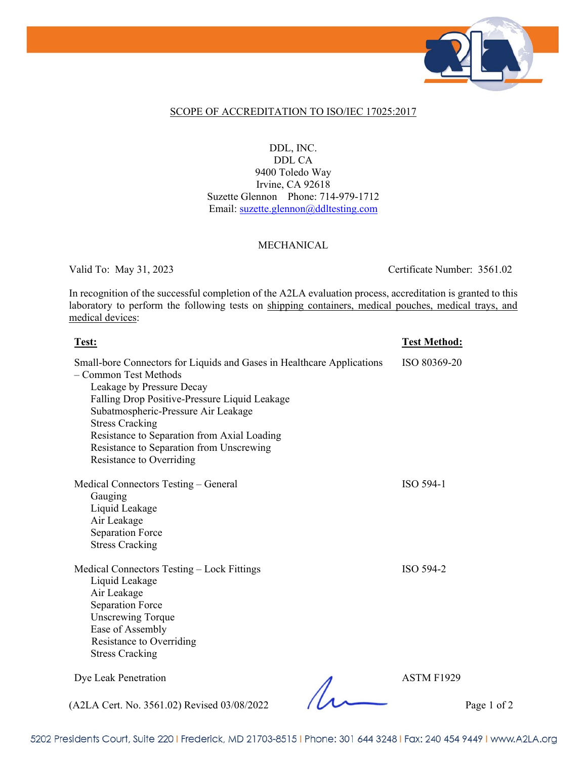

### SCOPE OF ACCREDITATION TO ISO/IEC 17025:2017

### DDL, INC. DDL CA 9400 Toledo Way Irvine, CA 92618 Suzette Glennon Phone: 714-979-1712 Email: [suzette.glennon@ddltesting.com](mailto:suzette.glennon@ddltesting.com)

#### MECHANICAL

Valid To: May 31, 2023 Certificate Number: 3561.02

In recognition of the successful completion of the A2LA evaluation process, accreditation is granted to this laboratory to perform the following tests on shipping containers, medical pouches, medical trays, and medical devices:

| <u>Test:</u>                                                                                                                                                                                                                                                                                                                                                          | <u>Test Method:</u> |
|-----------------------------------------------------------------------------------------------------------------------------------------------------------------------------------------------------------------------------------------------------------------------------------------------------------------------------------------------------------------------|---------------------|
| Small-bore Connectors for Liquids and Gases in Healthcare Applications<br>- Common Test Methods<br>Leakage by Pressure Decay<br>Falling Drop Positive-Pressure Liquid Leakage<br>Subatmospheric-Pressure Air Leakage<br><b>Stress Cracking</b><br>Resistance to Separation from Axial Loading<br>Resistance to Separation from Unscrewing<br>Resistance to Overriding | ISO 80369-20        |
| Medical Connectors Testing – General<br>Gauging<br>Liquid Leakage<br>Air Leakage<br><b>Separation Force</b><br><b>Stress Cracking</b>                                                                                                                                                                                                                                 | ISO 594-1           |
| Medical Connectors Testing - Lock Fittings<br>Liquid Leakage<br>Air Leakage<br><b>Separation Force</b><br><b>Unscrewing Torque</b><br>Ease of Assembly<br>Resistance to Overriding<br><b>Stress Cracking</b>                                                                                                                                                          | ISO 594-2           |
| Dye Leak Penetration                                                                                                                                                                                                                                                                                                                                                  | ASTM F1929          |

(A2LA Cert. No. 3561.02) Revised 03/08/2022 Page 1 of 2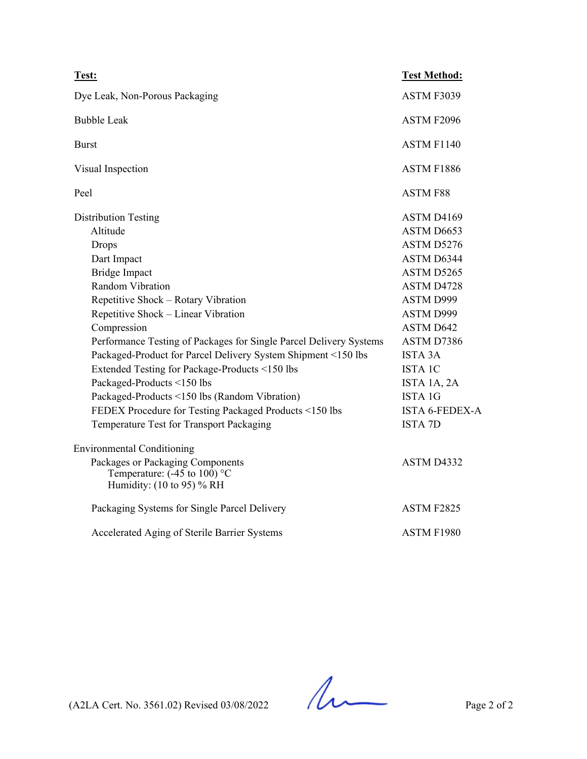| Test:                                                                                                    | <b>Test Method:</b>   |
|----------------------------------------------------------------------------------------------------------|-----------------------|
| Dye Leak, Non-Porous Packaging                                                                           | ASTM F3039            |
| <b>Bubble Leak</b>                                                                                       | ASTM F2096            |
| <b>Burst</b>                                                                                             | ASTM F1140            |
| Visual Inspection                                                                                        | ASTM F1886            |
| Peel                                                                                                     | <b>ASTM F88</b>       |
| <b>Distribution Testing</b>                                                                              | ASTM D4169            |
| Altitude                                                                                                 | ASTM D6653            |
| Drops                                                                                                    | ASTM D5276            |
| Dart Impact                                                                                              | ASTM D6344            |
| <b>Bridge Impact</b>                                                                                     | ASTM D5265            |
| Random Vibration                                                                                         | ASTM D4728            |
| Repetitive Shock - Rotary Vibration                                                                      | ASTM D999             |
| Repetitive Shock - Linear Vibration                                                                      | ASTM D999             |
| Compression                                                                                              | ASTM D642             |
| Performance Testing of Packages for Single Parcel Delivery Systems                                       | ASTM D7386            |
| Packaged-Product for Parcel Delivery System Shipment <150 lbs                                            | <b>ISTA 3A</b>        |
| Extended Testing for Package-Products <150 lbs                                                           | <b>ISTA 1C</b>        |
| Packaged-Products <150 lbs                                                                               | ISTA 1A, 2A           |
| Packaged-Products <150 lbs (Random Vibration)                                                            | <b>ISTA 1G</b>        |
| FEDEX Procedure for Testing Packaged Products <150 lbs                                                   | <b>ISTA 6-FEDEX-A</b> |
| Temperature Test for Transport Packaging                                                                 | <b>ISTA 7D</b>        |
| <b>Environmental Conditioning</b>                                                                        |                       |
| Packages or Packaging Components<br>Temperature: $(-45 \text{ to } 100)$ °C<br>Humidity: (10 to 95) % RH | ASTM D4332            |
| Packaging Systems for Single Parcel Delivery                                                             | ASTM F2825            |
| Accelerated Aging of Sterile Barrier Systems                                                             | ASTM F1980            |